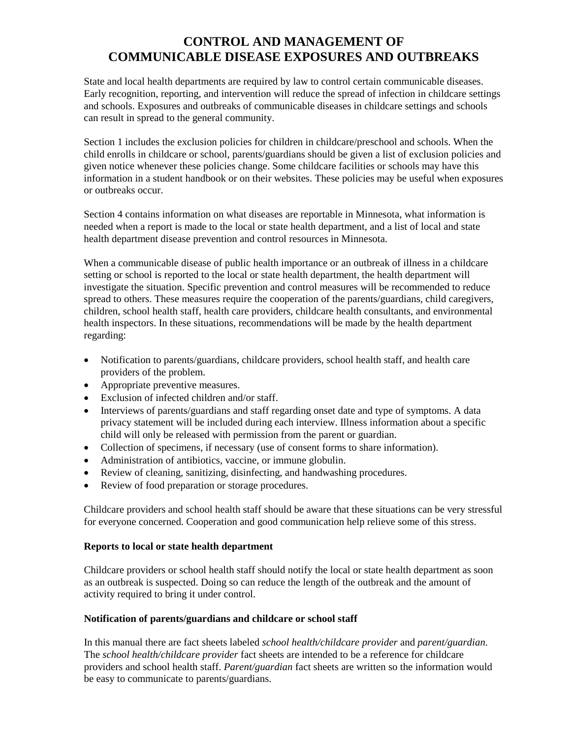## **CONTROL AND MANAGEMENT OF COMMUNICABLE DISEASE EXPOSURES AND OUTBREAKS**

State and local health departments are required by law to control certain communicable diseases. Early recognition, reporting, and intervention will reduce the spread of infection in childcare settings and schools. Exposures and outbreaks of communicable diseases in childcare settings and schools can result in spread to the general community.

Section 1 includes the exclusion policies for children in childcare/preschool and schools. When the child enrolls in childcare or school, parents/guardians should be given a list of exclusion policies and given notice whenever these policies change. Some childcare facilities or schools may have this information in a student handbook or on their websites. These policies may be useful when exposures or outbreaks occur.

Section 4 contains information on what diseases are reportable in Minnesota, what information is needed when a report is made to the local or state health department, and a list of local and state health department disease prevention and control resources in Minnesota.

When a communicable disease of public health importance or an outbreak of illness in a childcare setting or school is reported to the local or state health department, the health department will investigate the situation. Specific prevention and control measures will be recommended to reduce spread to others. These measures require the cooperation of the parents/guardians, child caregivers, children, school health staff, health care providers, childcare health consultants, and environmental health inspectors. In these situations, recommendations will be made by the health department regarding:

- Notification to parents/guardians, childcare providers, school health staff, and health care providers of the problem.
- Appropriate preventive measures.
- Exclusion of infected children and/or staff.
- Interviews of parents/guardians and staff regarding onset date and type of symptoms. A data privacy statement will be included during each interview. Illness information about a specific child will only be released with permission from the parent or guardian.
- Collection of specimens, if necessary (use of consent forms to share information).
- Administration of antibiotics, vaccine, or immune globulin.
- Review of cleaning, sanitizing, disinfecting, and handwashing procedures.
- Review of food preparation or storage procedures.

Childcare providers and school health staff should be aware that these situations can be very stressful for everyone concerned. Cooperation and good communication help relieve some of this stress.

## **Reports to local or state health department**

Childcare providers or school health staff should notify the local or state health department as soon as an outbreak is suspected. Doing so can reduce the length of the outbreak and the amount of activity required to bring it under control.

## **Notification of parents/guardians and childcare or school staff**

In this manual there are fact sheets labeled *school health/childcare provider* and *parent/guardian*. The *school health/childcare provider* fact sheets are intended to be a reference for childcare providers and school health staff. *Parent/guardian* fact sheets are written so the information would be easy to communicate to parents/guardians.